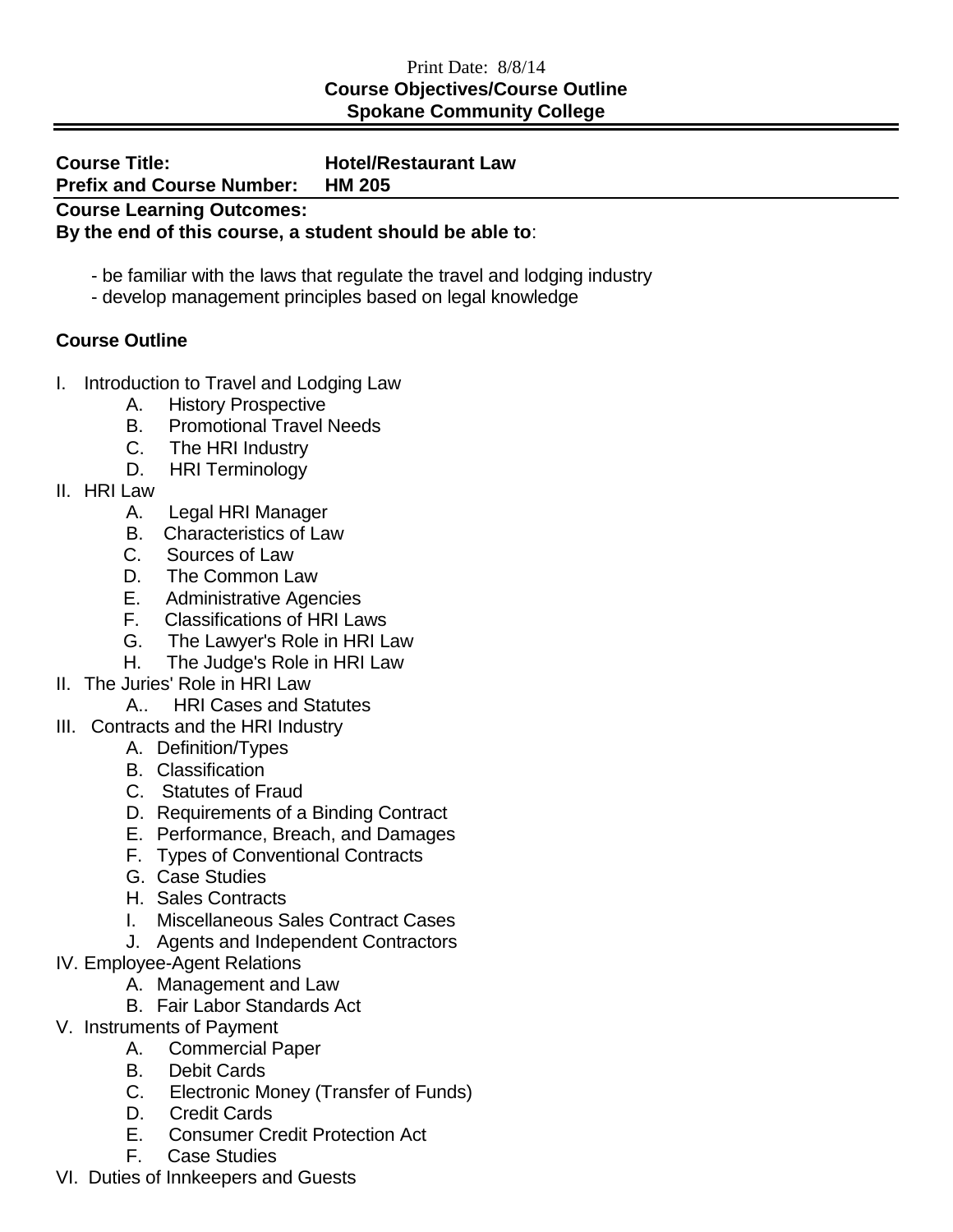## Print Date: 8/8/14 **Course Objectives/Course Outline Spokane Community College**

| <b>Course Title:</b>                                    | <b>Hotel/Restaurant Law</b> |  |
|---------------------------------------------------------|-----------------------------|--|
| <b>Prefix and Course Number:</b>                        | <b>HM 205</b>               |  |
| <b>Course Learning Outcomes:</b>                        |                             |  |
| By the end of this course, a student should be able to: |                             |  |

- be familiar with the laws that regulate the travel and lodging industry
- develop management principles based on legal knowledge

## **Course Outline**

- I. Introduction to Travel and Lodging Law
	- A. History Prospective
	- B. Promotional Travel Needs
	- C. The HRI Industry
	- D. HRI Terminology
- II. HRI Law
	- A. Legal HRI Manager
	- B. Characteristics of Law
	- C. Sources of Law
	- D. The Common Law
	- E. Administrative Agencies
	- F. Classifications of HRI Laws
	- G. The Lawyer's Role in HRI Law
	- H. The Judge's Role in HRI Law
- II. The Juries' Role in HRI Law
	- A.. HRI Cases and Statutes
- III. Contracts and the HRI Industry
	- A. Definition/Types
	- B. Classification
	- C. Statutes of Fraud
	- D. Requirements of a Binding Contract
	- E. Performance, Breach, and Damages
	- F. Types of Conventional Contracts
	- G. Case Studies
	- H. Sales Contracts
	- I. Miscellaneous Sales Contract Cases
	- J. Agents and Independent Contractors
- IV. Employee-Agent Relations
	- A. Management and Law
	- B. Fair Labor Standards Act
- V. Instruments of Payment
	- A. Commercial Paper
	- B. Debit Cards
	- C. Electronic Money (Transfer of Funds)
	- D. Credit Cards
	- E. Consumer Credit Protection Act
	- F. Case Studies
- VI. Duties of Innkeepers and Guests